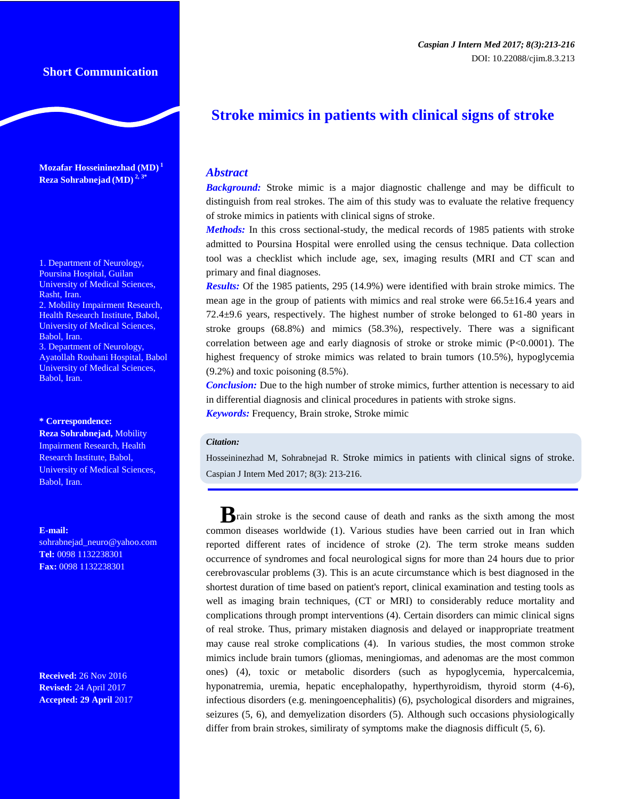**Mozafar Hosseininezhad (MD) <sup>1</sup> Reza Sohrabnejad (MD) 2, 3\***

1. Department of Neurology, Poursina Hospital, Guilan University of Medical Sciences, Rasht, Iran.

2. Mobility Impairment Research, Health Research Institute, Babol, University of Medical Sciences, Babol, Iran.

3. Department of Neurology, Ayatollah Rouhani Hospital, Babol University of Medical Sciences, Babol, Iran.

**\* Correspondence:**

**Reza Sohrabnejad,** Mobility Impairment Research, Health Research Institute, Babol, University of Medical Sciences, Babol, Iran.

**E-mail:**

sohrabnejad\_neuro@yahoo.com **Tel:** 0098 1132238301 **Fax:** 0098 1132238301

**Received:** 26 Nov 2016 **Revised:** 24 April 2017 **Accepted: 29 April** 2017

## *Caspian J Intern Med 2017; 8(3):213-216* [DOI: 10.22088/cjim.8.3.213](http://dx.doi.org/10.22088/acadpub.BUMS.8.2.67)

# **Stroke mimics in patients with clinical signs of stroke**

### *Abstract*

**Background:** Stroke mimic is a major diagnostic challenge and may be difficult to distinguish from real strokes. The aim of this study was to evaluate the relative frequency of stroke mimics in patients with clinical signs of stroke.

*Methods:* In this cross sectional-study, the medical records of 1985 patients with stroke admitted to Poursina Hospital were enrolled using the census technique. Data collection tool was a checklist which include age, sex, imaging results (MRI and CT scan and primary and final diagnoses.

*Results:* Of the 1985 patients, 295 (14.9%) were identified with brain stroke mimics. The mean age in the group of patients with mimics and real stroke were  $66.5\pm16.4$  years and 72.4±9.6 years, respectively. The highest number of stroke belonged to 61-80 years in stroke groups (68.8%) and mimics (58.3%), respectively. There was a significant correlation between age and early diagnosis of stroke or stroke mimic (P<0.0001). The highest frequency of stroke mimics was related to brain tumors (10.5%), hypoglycemia (9.2%) and toxic poisoning (8.5%).

*Conclusion:* Due to the high number of stroke mimics, further attention is necessary to aid in differential diagnosis and clinical procedures in patients with stroke signs. *Keywords:* Frequency, Brain stroke, Stroke mimic

#### *Citation:*

Hosseininezhad M, Sohrabnejad R. Stroke mimics in patients with clinical signs of stroke. Caspian J Intern Med 2017; 8(3): 213-216.

**B**rain stroke is the second cause of death and ranks as the sixth among the most common diseases worldwide (1). Various studies have been carried out in Iran which reported different rates of incidence of stroke (2). The term stroke means sudden occurrence of syndromes and focal neurological signs for more than 24 hours due to prior cerebrovascular problems (3). This is an acute circumstance which is best diagnosed in the shortest duration of time based on patient's report, clinical examination and testing tools as well as imaging brain techniques, (CT or MRI) to considerably reduce mortality and complications through prompt interventions (4). Certain disorders can mimic clinical signs of real stroke. Thus, primary mistaken diagnosis and delayed or inappropriate treatment may cause real stroke complications (4). In various studies, the most common stroke mimics include brain tumors (gliomas, meningiomas, and adenomas are the most common ones) (4), toxic or metabolic disorders (such as hypoglycemia, hypercalcemia, hyponatremia, uremia, hepatic encephalopathy, hyperthyroidism, thyroid storm (4-6), infectious disorders (e.g. meningoencephalitis) (6), psychological disorders and migraines, seizures (5, 6), and demyelization disorders (5). Although such occasions physiologically differ from brain strokes, similiraty of symptoms make the diagnosis difficult (5, 6).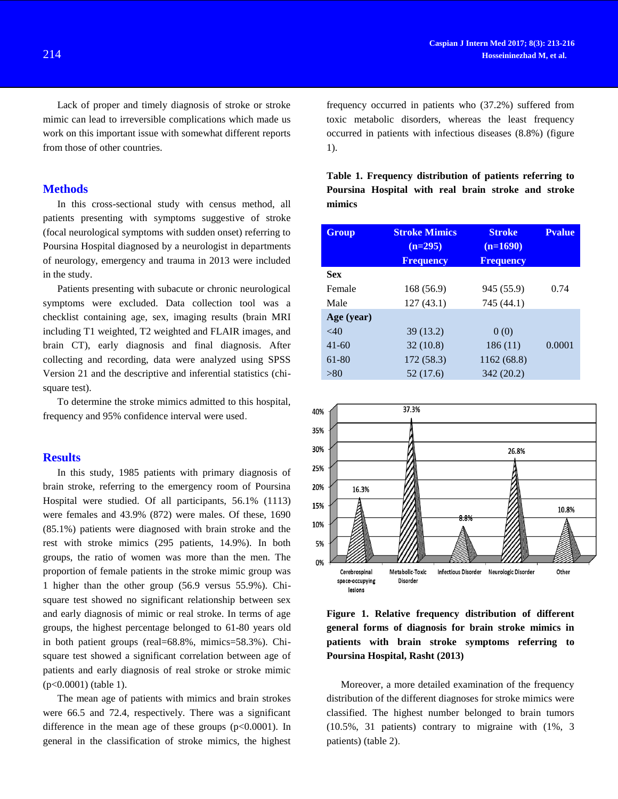Lack of proper and timely diagnosis of stroke or stroke mimic can lead to irreversible complications which made us work on this important issue with somewhat different reports from those of other countries.

### **Methods**

In this cross-sectional study with census method, all patients presenting with symptoms suggestive of stroke (focal neurological symptoms with sudden onset) referring to Poursina Hospital diagnosed by a neurologist in departments of neurology, emergency and trauma in 2013 were included in the study.

Patients presenting with subacute or chronic neurological symptoms were excluded. Data collection tool was a checklist containing age, sex, imaging results (brain MRI including T1 weighted, T2 weighted and FLAIR images, and brain CT), early diagnosis and final diagnosis. After collecting and recording, data were analyzed using SPSS Version 21 and the descriptive and inferential statistics (chisquare test).

To determine the stroke mimics admitted to this hospital, frequency and 95% confidence interval were used.

## **Results**

In this study, 1985 patients with primary diagnosis of brain stroke, referring to the emergency room of Poursina Hospital were studied. Of all participants, 56.1% (1113) were females and 43.9% (872) were males. Of these, 1690 (85.1%) patients were diagnosed with brain stroke and the rest with stroke mimics (295 patients, 14.9%). In both groups, the ratio of women was more than the men. The proportion of female patients in the stroke mimic group was 1 higher than the other group (56.9 versus 55.9%). Chisquare test showed no significant relationship between sex and early diagnosis of mimic or real stroke. In terms of age groups, the highest percentage belonged to 61-80 years old in both patient groups (real=68.8%, mimics=58.3%). Chisquare test showed a significant correlation between age of patients and early diagnosis of real stroke or stroke mimic (p<0.0001) (table 1).

The mean age of patients with mimics and brain strokes were 66.5 and 72.4, respectively. There was a significant difference in the mean age of these groups  $(p<0.0001)$ . In general in the classification of stroke mimics, the highest

frequency occurred in patients who (37.2%) suffered from toxic metabolic disorders, whereas the least frequency occurred in patients with infectious diseases (8.8%) (figure 1).

|        | Table 1. Frequency distribution of patients referring to |  |  |  |
|--------|----------------------------------------------------------|--|--|--|
|        | Poursina Hospital with real brain stroke and stroke      |  |  |  |
| mimics |                                                          |  |  |  |

| <b>Group</b> | <b>Stroke Mimics</b><br>$(n=295)$ | <b>Stroke</b><br>$(n=1690)$ | <b>Pvalue</b> |
|--------------|-----------------------------------|-----------------------------|---------------|
|              | <b>Frequency</b>                  | <b>Frequency</b>            |               |
| <b>Sex</b>   |                                   |                             |               |
| Female       | 168 (56.9)                        | 945 (55.9)                  | 0.74          |
| Male         | 127(43.1)                         | 745 (44.1)                  |               |
| Age (year)   |                                   |                             |               |
| $~<$ 40      | 39(13.2)                          | 0(0)                        |               |
| $41 - 60$    | 32(10.8)                          | 186(11)                     | 0.0001        |
| 61-80        | 172(58.3)                         | 1162 (68.8)                 |               |
| > 80         | 52 (17.6)                         | 342 (20.2)                  |               |
|              |                                   |                             |               |



**Figure 1. Relative frequency distribution of different general forms of diagnosis for brain stroke mimics in patients with brain stroke symptoms referring to Poursina Hospital, Rasht (2013)**

Moreover, a more detailed examination of the frequency distribution of the different diagnoses for stroke mimics were classified. The highest number belonged to brain tumors (10.5%, 31 patients) contrary to migraine with (1%, 3 patients) (table 2).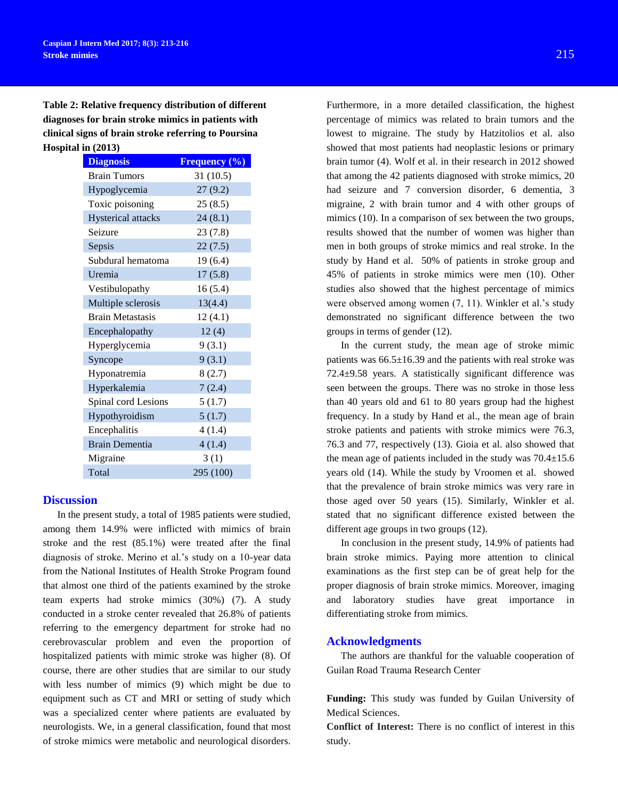**Table 2: Relative frequency distribution of different diagnoses for brain stroke mimics in patients with clinical signs of brain stroke referring to Poursina Hospital in (2013)**

| <b>Diagnosis</b>          | Frequency (%) |
|---------------------------|---------------|
| <b>Brain Tumors</b>       | 31(10.5)      |
| Hypoglycemia              | 27(9.2)       |
| Toxic poisoning           | 25(8.5)       |
| <b>Hysterical attacks</b> | 24(8.1)       |
| Seizure                   | 23(7.8)       |
| Sepsis                    | 22(7.5)       |
| Subdural hematoma         | 19(6.4)       |
| Uremia                    | 17(5.8)       |
| Vestibulopathy            | 16(5.4)       |
| Multiple sclerosis        | 13(4.4)       |
| <b>Brain Metastasis</b>   | 12(4.1)       |
| Encephalopathy            | 12(4)         |
| Hyperglycemia             | 9(3.1)        |
| Syncope                   | 9(3.1)        |
| Hyponatremia              | 8(2.7)        |
| Hyperkalemia              | 7(2.4)        |
| Spinal cord Lesions       | 5(1.7)        |
| Hypothyroidism            | 5(1.7)        |
| Encephalitis              | 4(1.4)        |
| <b>Brain Dementia</b>     | 4(1.4)        |
| Migraine                  | 3(1)          |
| Total                     | 295 (100)     |

#### **Discussion**

In the present study, a total of 1985 patients were studied, among them 14.9% were inflicted with mimics of brain stroke and the rest (85.1%) were treated after the final diagnosis of stroke. Merino et al.'s study on a 10-year data from the National Institutes of Health Stroke Program found that almost one third of the patients examined by the stroke team experts had stroke mimics (30%) (7). A study conducted in a stroke center revealed that 26.8% of patients referring to the emergency department for stroke had no cerebrovascular problem and even the proportion of hospitalized patients with mimic stroke was higher (8). Of course, there are other studies that are similar to our study with less number of mimics (9) which might be due to equipment such as CT and MRI or setting of study which was a specialized center where patients are evaluated by neurologists. We, in a general classification, found that most of stroke mimics were metabolic and neurological disorders.

Furthermore, in a more detailed classification, the highest percentage of mimics was related to brain tumors and the lowest to migraine. The study by Hatzitolios et al. also showed that most patients had neoplastic lesions or primary brain tumor (4). Wolf et al. in their research in 2012 showed that among the 42 patients diagnosed with stroke mimics, 20 had seizure and 7 conversion disorder, 6 dementia, 3 migraine, 2 with brain tumor and 4 with other groups of mimics (10). In a comparison of sex between the two groups, results showed that the number of women was higher than men in both groups of stroke mimics and real stroke. In the study by Hand et al. 50% of patients in stroke group and 45% of patients in stroke mimics were men (10). Other studies also showed that the highest percentage of mimics were observed among women (7, 11). Winkler et al.'s study demonstrated no significant difference between the two groups in terms of gender (12).

In the current study, the mean age of stroke mimic patients was 66.5±16.39 and the patients with real stroke was 72.4±9.58 years. A statistically significant difference was seen between the groups. There was no stroke in those less than 40 years old and 61 to 80 years group had the highest frequency. In a study by Hand et al., the mean age of brain stroke patients and patients with stroke mimics were 76.3, 76.3 and 77, respectively (13). Gioia et al. also showed that the mean age of patients included in the study was  $70.4 \pm 15.6$ years old (14). While the study by Vroomen et al. showed that the prevalence of brain stroke mimics was very rare in those aged over 50 years (15). Similarly, Winkler et al. stated that no significant difference existed between the different age groups in two groups (12).

In conclusion in the present study, 14.9% of patients had brain stroke mimics. Paying more attention to clinical examinations as the first step can be of great help for the proper diagnosis of brain stroke mimics. Moreover, imaging and laboratory studies have great importance in differentiating stroke from mimics.

#### **Acknowledgments**

The authors are thankful for the valuable cooperation of Guilan Road Trauma Research Center

**Funding:** This study was funded by Guilan University of Medical Sciences.

**Conflict of Interest:** There is no conflict of interest in this study.